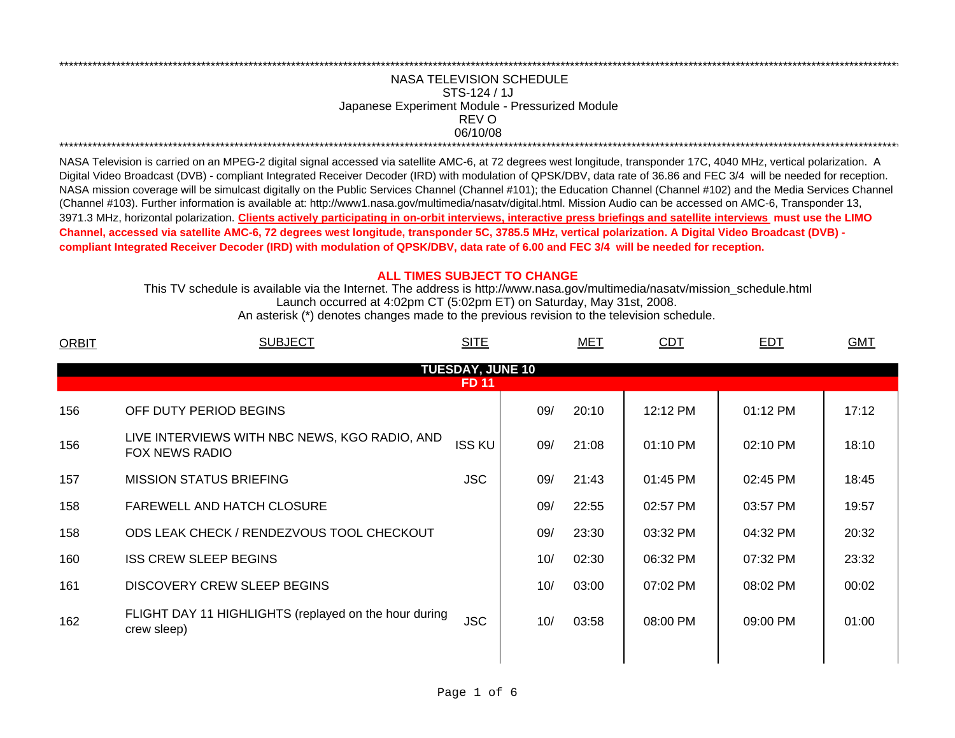## 06/10/08 \*\*\*\*\*\*\*\*\*\*\*\*\*\*\*\*\*\*\*\*\*\*\*\*\*\*\*\*\*\*\*\*\*\*\*\*\*\*\*\*\*\*\*\*\*\*\*\*\*\*\*\*\*\*\*\*\*\*\*\*\*\*\*\*\*\*\*\*\*\*\*\*\*\*\*\*\*\*\*\*\*\*\*\*\*\*\*\*\*\*\*\*\*\*\*\*\*\*\*\*\*\*\*\*\*\*\*\*\*\*\*\*\*\*\*\*\*\*\*\*\*\*\*\*\*\*\*\*\*\*\*\*\*\*\*\*\*\*\*\*\*\*\*\*\*\*\*\*\*\*\*\*\*\*\*\*\*\*\*\*\*\*\*\*\*\*\*\*\*\*\*\*\*\*\*\*\*\*REV ONASA TELEVISION SCHEDULESTS-124 / 1JJapanese Experiment Module - Pressurized Module

\*\*\*\*\*\*\*\*\*\*\*\*\*\*\*\*\*\*\*\*\*\*\*\*\*\*\*\*\*\*\*\*\*\*\*\*\*\*\*\*\*\*\*\*\*\*\*\*\*\*\*\*\*\*\*\*\*\*\*\*\*\*\*\*\*\*\*\*\*\*\*\*\*\*\*\*\*\*\*\*\*\*\*\*\*\*\*\*\*\*\*\*\*\*\*\*\*\*\*\*\*\*\*\*\*\*\*\*\*\*\*\*\*\*\*\*\*\*\*\*\*\*\*\*\*\*\*\*\*\*\*\*\*\*\*\*\*\*\*\*\*\*\*\*\*\*\*\*\*\*\*\*\*\*\*\*\*\*\*\*\*\*\*\*\*\*\*\*\*\*\*\*\*\*\*\*\*\*

NASA Television is carried on an MPEG-2 digital signal accessed via satellite AMC-6, at 72 degrees west longitude, transponder 17C, 4040 MHz, vertical polarization. A Digital Video Broadcast (DVB) - compliant Integrated Receiver Decoder (IRD) with modulation of QPSK/DBV, data rate of 36.86 and FEC 3/4 will be needed for reception. NASA mission coverage will be simulcast digitally on the Public Services Channel (Channel #101); the Education Channel (Channel #102) and the Media Services Channel (Channel #103). Further information is available at: http://www1.nasa.gov/multimedia/nasatv/digital.html. Mission Audio can be accessed on AMC-6, Transponder 13, 3971.3 MHz, horizontal polarization. **Clients actively participating in on-orbit interviews, interactive press briefings and satellite interviews must use the LIMO Channel, accessed via satellite AMC-6, 72 degrees west longitude, transponder 5C, 3785.5 MHz, vertical polarization. A Digital Video Broadcast (DVB) compliant Integrated Receiver Decoder (IRD) with modulation of QPSK/DBV, data rate of 6.00 and FEC 3/4 will be needed for reception.**

## **ALL TIMES SUBJECT TO CHANGE**

Launch occurred at 4:02pm CT (5:02pm ET) on Saturday, May 31st, 2008. This TV schedule is available via the Internet. The address is http://www.nasa.gov/multimedia/nasatv/mission\_schedule.html

An asterisk (\*) denotes changes made to the previous revision to the television schedule.

| <b>ORBIT</b> | <b>SUBJECT</b>                                                       | <b>SITE</b>                             |     | <u>MET</u> | <b>CDT</b> | <b>EDT</b> | <b>GMT</b> |
|--------------|----------------------------------------------------------------------|-----------------------------------------|-----|------------|------------|------------|------------|
|              |                                                                      | <b>TUESDAY, JUNE 10</b><br><b>FD 11</b> |     |            |            |            |            |
|              |                                                                      |                                         |     |            |            |            |            |
| 156          | OFF DUTY PERIOD BEGINS                                               |                                         | 09/ | 20:10      | 12:12 PM   | 01:12 PM   | 17:12      |
| 156          | LIVE INTERVIEWS WITH NBC NEWS, KGO RADIO, AND<br>FOX NEWS RADIO      | <b>ISS KU</b>                           | 09/ | 21:08      | 01:10 PM   | 02:10 PM   | 18:10      |
| 157          | <b>MISSION STATUS BRIEFING</b>                                       | <b>JSC</b>                              | 09/ | 21:43      | 01:45 PM   | 02:45 PM   | 18:45      |
| 158          | FAREWELL AND HATCH CLOSURE                                           |                                         | 09/ | 22:55      | 02:57 PM   | 03:57 PM   | 19:57      |
| 158          | ODS LEAK CHECK / RENDEZVOUS TOOL CHECKOUT                            |                                         | 09/ | 23:30      | 03:32 PM   | 04:32 PM   | 20:32      |
| 160          | <b>ISS CREW SLEEP BEGINS</b>                                         |                                         | 10/ | 02:30      | 06:32 PM   | 07:32 PM   | 23:32      |
| 161          | <b>DISCOVERY CREW SLEEP BEGINS</b>                                   |                                         | 10/ | 03:00      | 07:02 PM   | 08:02 PM   | 00:02      |
| 162          | FLIGHT DAY 11 HIGHLIGHTS (replayed on the hour during<br>crew sleep) | <b>JSC</b>                              | 10/ | 03:58      | 08:00 PM   | 09:00 PM   | 01:00      |
|              |                                                                      |                                         |     |            |            |            |            |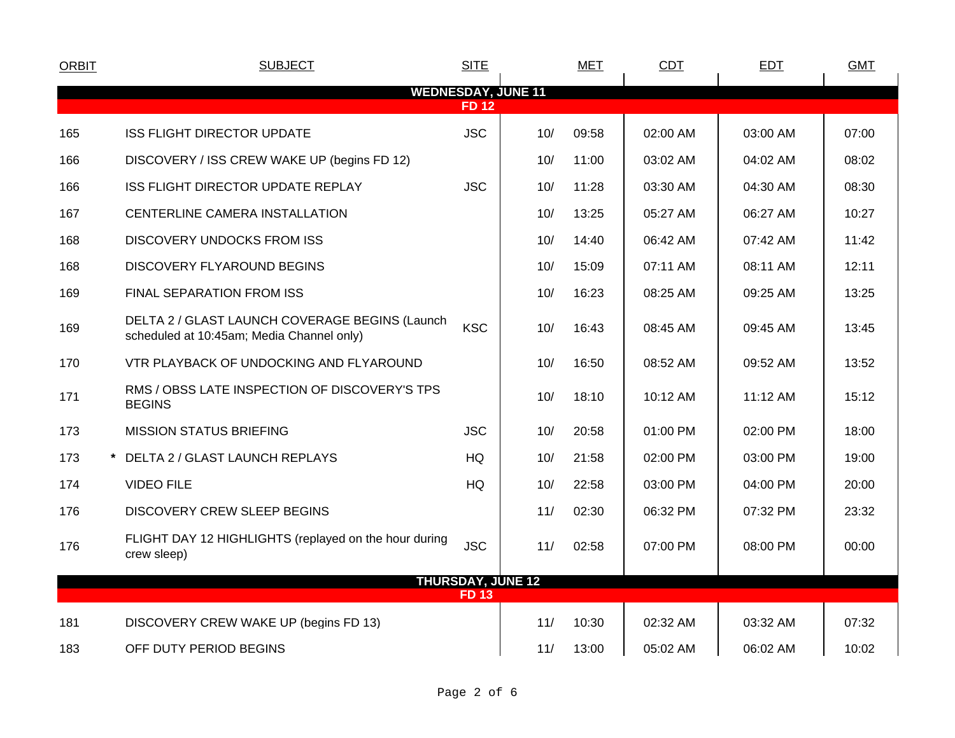| <b>ORBIT</b>              | <b>SUBJECT</b>                                                                              | <b>SITE</b> |                          | <b>MET</b> | <b>CDT</b> | <b>EDT</b> | <b>GMT</b> |  |
|---------------------------|---------------------------------------------------------------------------------------------|-------------|--------------------------|------------|------------|------------|------------|--|
| <b>WEDNESDAY, JUNE 11</b> |                                                                                             |             |                          |            |            |            |            |  |
| <b>FD 12</b>              |                                                                                             |             |                          |            |            |            |            |  |
| 165                       | <b>ISS FLIGHT DIRECTOR UPDATE</b>                                                           | <b>JSC</b>  | 10/                      | 09:58      | 02:00 AM   | 03:00 AM   | 07:00      |  |
| 166                       | DISCOVERY / ISS CREW WAKE UP (begins FD 12)                                                 |             | 10/                      | 11:00      | 03:02 AM   | 04:02 AM   | 08:02      |  |
| 166                       | ISS FLIGHT DIRECTOR UPDATE REPLAY                                                           | <b>JSC</b>  | 10/                      | 11:28      | 03:30 AM   | 04:30 AM   | 08:30      |  |
| 167                       | CENTERLINE CAMERA INSTALLATION                                                              |             | 10/                      | 13:25      | 05:27 AM   | 06:27 AM   | 10:27      |  |
| 168                       | <b>DISCOVERY UNDOCKS FROM ISS</b>                                                           |             | 10/                      | 14:40      | 06:42 AM   | 07:42 AM   | 11:42      |  |
| 168                       | DISCOVERY FLYAROUND BEGINS                                                                  |             | 10/                      | 15:09      | 07:11 AM   | 08:11 AM   | 12:11      |  |
| 169                       | FINAL SEPARATION FROM ISS                                                                   |             | 10/                      | 16:23      | 08:25 AM   | 09:25 AM   | 13:25      |  |
| 169                       | DELTA 2 / GLAST LAUNCH COVERAGE BEGINS (Launch<br>scheduled at 10:45am; Media Channel only) | <b>KSC</b>  | 10/                      | 16:43      | 08:45 AM   | 09:45 AM   | 13:45      |  |
| 170                       | VTR PLAYBACK OF UNDOCKING AND FLYAROUND                                                     |             | 10/                      | 16:50      | 08:52 AM   | 09:52 AM   | 13:52      |  |
| 171                       | RMS / OBSS LATE INSPECTION OF DISCOVERY'S TPS<br><b>BEGINS</b>                              |             | 10/                      | 18:10      | 10:12 AM   | 11:12 AM   | 15:12      |  |
| 173                       | <b>MISSION STATUS BRIEFING</b>                                                              | <b>JSC</b>  | 10/                      | 20:58      | 01:00 PM   | 02:00 PM   | 18:00      |  |
| 173                       | * DELTA 2 / GLAST LAUNCH REPLAYS                                                            | HQ          | 10/                      | 21:58      | 02:00 PM   | 03:00 PM   | 19:00      |  |
| 174                       | <b>VIDEO FILE</b>                                                                           | HQ          | 10/                      | 22:58      | 03:00 PM   | 04:00 PM   | 20:00      |  |
| 176                       | <b>DISCOVERY CREW SLEEP BEGINS</b>                                                          |             | 11/                      | 02:30      | 06:32 PM   | 07:32 PM   | 23:32      |  |
| 176                       | FLIGHT DAY 12 HIGHLIGHTS (replayed on the hour during<br>crew sleep)                        | <b>JSC</b>  | 11/                      | 02:58      | 07:00 PM   | 08:00 PM   | 00:00      |  |
|                           |                                                                                             |             | <b>THURSDAY, JUNE 12</b> |            |            |            |            |  |
|                           |                                                                                             | <b>FD13</b> |                          |            |            |            |            |  |
| 181                       | DISCOVERY CREW WAKE UP (begins FD 13)                                                       |             | 11/                      | 10:30      | 02:32 AM   | 03:32 AM   | 07:32      |  |
| 183                       | OFF DUTY PERIOD BEGINS                                                                      |             | 11/                      | 13:00      | 05:02 AM   | 06:02 AM   | 10:02      |  |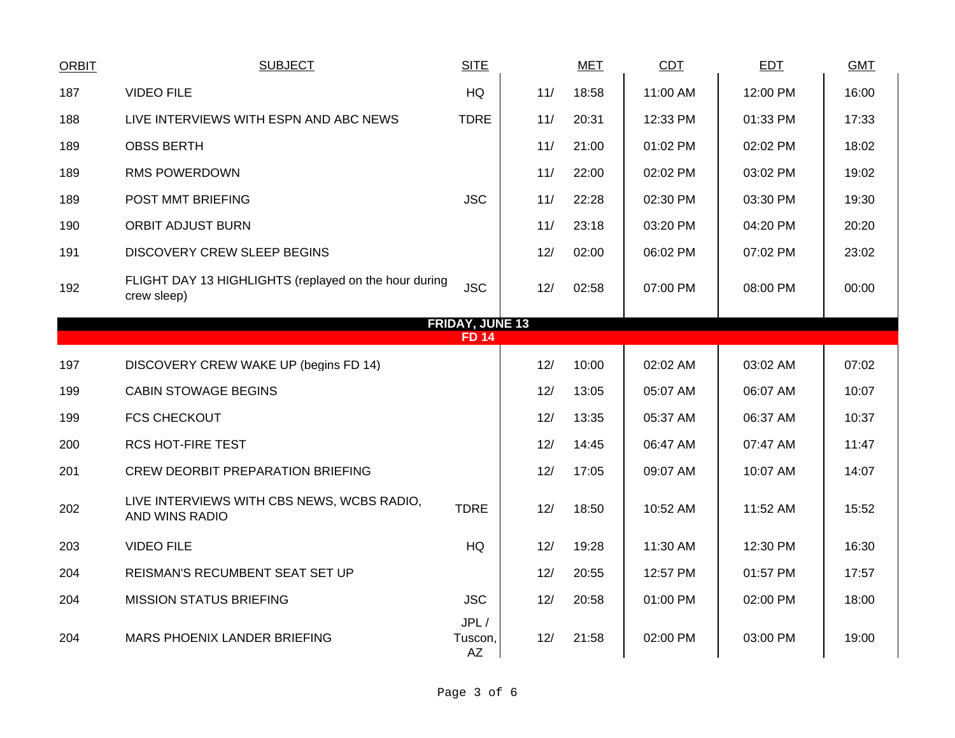| <b>ORBIT</b> | <b>SUBJECT</b>                                                       | <b>SITE</b>                            |     | <b>MET</b> | <b>CDT</b> | <b>EDT</b> | <b>GMT</b> |
|--------------|----------------------------------------------------------------------|----------------------------------------|-----|------------|------------|------------|------------|
| 187          | <b>VIDEO FILE</b>                                                    | <b>HQ</b>                              | 11/ | 18:58      | 11:00 AM   | 12:00 PM   | 16:00      |
| 188          | LIVE INTERVIEWS WITH ESPN AND ABC NEWS                               | <b>TDRE</b>                            | 11/ | 20:31      | 12:33 PM   | 01:33 PM   | 17:33      |
| 189          | <b>OBSS BERTH</b>                                                    |                                        | 11/ | 21:00      | 01:02 PM   | 02:02 PM   | 18:02      |
| 189          | <b>RMS POWERDOWN</b>                                                 |                                        | 11/ | 22:00      | 02:02 PM   | 03:02 PM   | 19:02      |
| 189          | POST MMT BRIEFING                                                    | <b>JSC</b>                             | 11/ | 22:28      | 02:30 PM   | 03:30 PM   | 19:30      |
| 190          | <b>ORBIT ADJUST BURN</b>                                             |                                        | 11/ | 23:18      | 03:20 PM   | 04:20 PM   | 20:20      |
| 191          | <b>DISCOVERY CREW SLEEP BEGINS</b>                                   |                                        | 12/ | 02:00      | 06:02 PM   | 07:02 PM   | 23:02      |
| 192          | FLIGHT DAY 13 HIGHLIGHTS (replayed on the hour during<br>crew sleep) | <b>JSC</b>                             | 12/ | 02:58      | 07:00 PM   | 08:00 PM   | 00:00      |
|              |                                                                      | <b>FRIDAY, JUNE 13</b><br><b>FD 14</b> |     |            |            |            |            |
|              |                                                                      |                                        |     |            |            |            |            |
| 197          | DISCOVERY CREW WAKE UP (begins FD 14)                                |                                        | 12/ | 10:00      | 02:02 AM   | 03:02 AM   | 07:02      |
| 199          | <b>CABIN STOWAGE BEGINS</b>                                          |                                        | 12/ | 13:05      | 05:07 AM   | 06:07 AM   | 10:07      |
| 199          | <b>FCS CHECKOUT</b>                                                  |                                        | 12/ | 13:35      | 05:37 AM   | 06:37 AM   | 10:37      |
| 200          | <b>RCS HOT-FIRE TEST</b>                                             |                                        | 12/ | 14:45      | 06:47 AM   | 07:47 AM   | 11:47      |
| 201          | <b>CREW DEORBIT PREPARATION BRIEFING</b>                             |                                        | 12/ | 17:05      | 09:07 AM   | 10:07 AM   | 14:07      |
| 202          | LIVE INTERVIEWS WITH CBS NEWS, WCBS RADIO,<br>AND WINS RADIO         | <b>TDRE</b>                            | 12/ | 18:50      | 10:52 AM   | 11:52 AM   | 15:52      |
| 203          | <b>VIDEO FILE</b>                                                    | <b>HQ</b>                              | 12/ | 19:28      | 11:30 AM   | 12:30 PM   | 16:30      |
| 204          | REISMAN'S RECUMBENT SEAT SET UP                                      |                                        | 12/ | 20:55      | 12:57 PM   | 01:57 PM   | 17:57      |
| 204          | <b>MISSION STATUS BRIEFING</b>                                       | <b>JSC</b>                             | 12/ | 20:58      | 01:00 PM   | 02:00 PM   | 18:00      |
| 204          | MARS PHOENIX LANDER BRIEFING                                         | JPL/<br>Tuscon,<br>AZ                  | 12/ | 21:58      | 02:00 PM   | 03:00 PM   | 19:00      |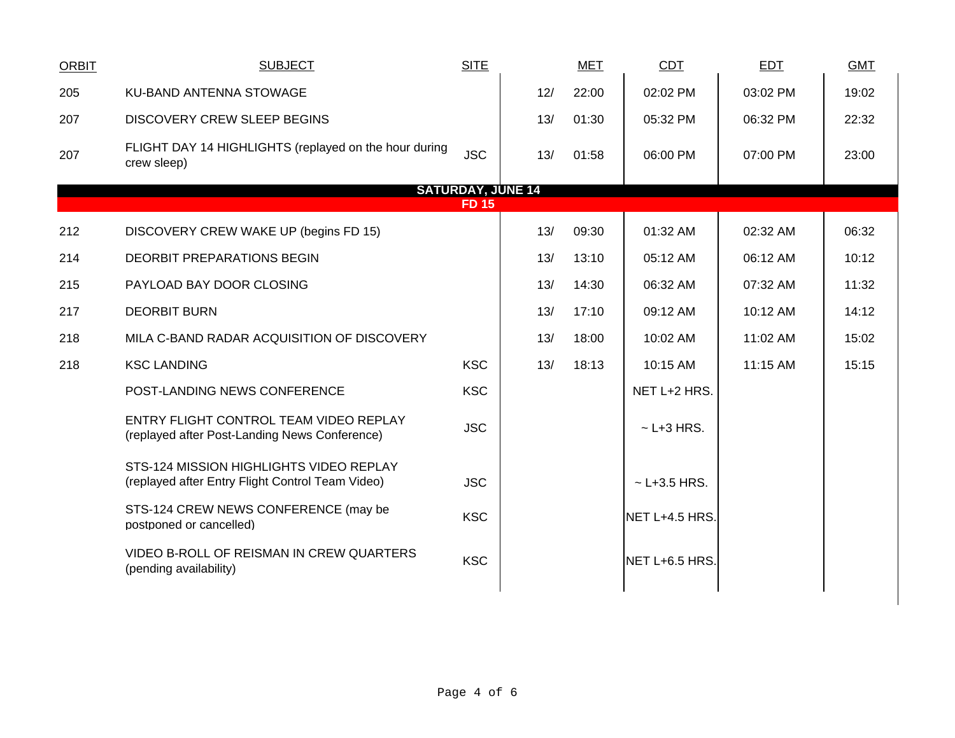| <b>ORBIT</b> | <b>SUBJECT</b>                                                                              | <b>SITE</b>              |     | <b>MET</b> | CDT              | <b>EDT</b> | <b>GMT</b> |
|--------------|---------------------------------------------------------------------------------------------|--------------------------|-----|------------|------------------|------------|------------|
| 205          | KU-BAND ANTENNA STOWAGE                                                                     |                          | 12/ | 22:00      | 02:02 PM         | 03:02 PM   | 19:02      |
| 207          | <b>DISCOVERY CREW SLEEP BEGINS</b>                                                          |                          | 13/ | 01:30      | 05:32 PM         | 06:32 PM   | 22:32      |
| 207          | FLIGHT DAY 14 HIGHLIGHTS (replayed on the hour during<br>crew sleep)                        | <b>JSC</b>               | 13/ | 01:58      | 06:00 PM         | 07:00 PM   | 23:00      |
|              |                                                                                             | <b>SATURDAY, JUNE 14</b> |     |            |                  |            |            |
|              |                                                                                             | <b>FD 15</b>             |     |            |                  |            |            |
| 212          | DISCOVERY CREW WAKE UP (begins FD 15)                                                       |                          | 13/ | 09:30      | 01:32 AM         | 02:32 AM   | 06:32      |
| 214          | <b>DEORBIT PREPARATIONS BEGIN</b>                                                           |                          | 13/ | 13:10      | 05:12 AM         | 06:12 AM   | 10:12      |
| 215          | PAYLOAD BAY DOOR CLOSING                                                                    |                          | 13/ | 14:30      | 06:32 AM         | 07:32 AM   | 11:32      |
| 217          | <b>DEORBIT BURN</b>                                                                         |                          | 13/ | 17:10      | 09:12 AM         | 10:12 AM   | 14:12      |
| 218          | MILA C-BAND RADAR ACQUISITION OF DISCOVERY                                                  |                          | 13/ | 18:00      | 10:02 AM         | 11:02 AM   | 15:02      |
| 218          | <b>KSC LANDING</b>                                                                          | <b>KSC</b>               | 13/ | 18:13      | 10:15 AM         | 11:15 AM   | 15:15      |
|              | POST-LANDING NEWS CONFERENCE                                                                | <b>KSC</b>               |     |            | NET L+2 HRS.     |            |            |
|              | ENTRY FLIGHT CONTROL TEAM VIDEO REPLAY<br>(replayed after Post-Landing News Conference)     | <b>JSC</b>               |     |            | $\sim$ L+3 HRS.  |            |            |
|              | STS-124 MISSION HIGHLIGHTS VIDEO REPLAY<br>(replayed after Entry Flight Control Team Video) | <b>JSC</b>               |     |            | $~$ - L+3.5 HRS. |            |            |
|              | STS-124 CREW NEWS CONFERENCE (may be<br>postponed or cancelled)                             | <b>KSC</b>               |     |            | NET L+4.5 HRS.   |            |            |
|              | VIDEO B-ROLL OF REISMAN IN CREW QUARTERS<br>(pending availability)                          | <b>KSC</b>               |     |            | NET L+6.5 HRS.   |            |            |
|              |                                                                                             |                          |     |            |                  |            |            |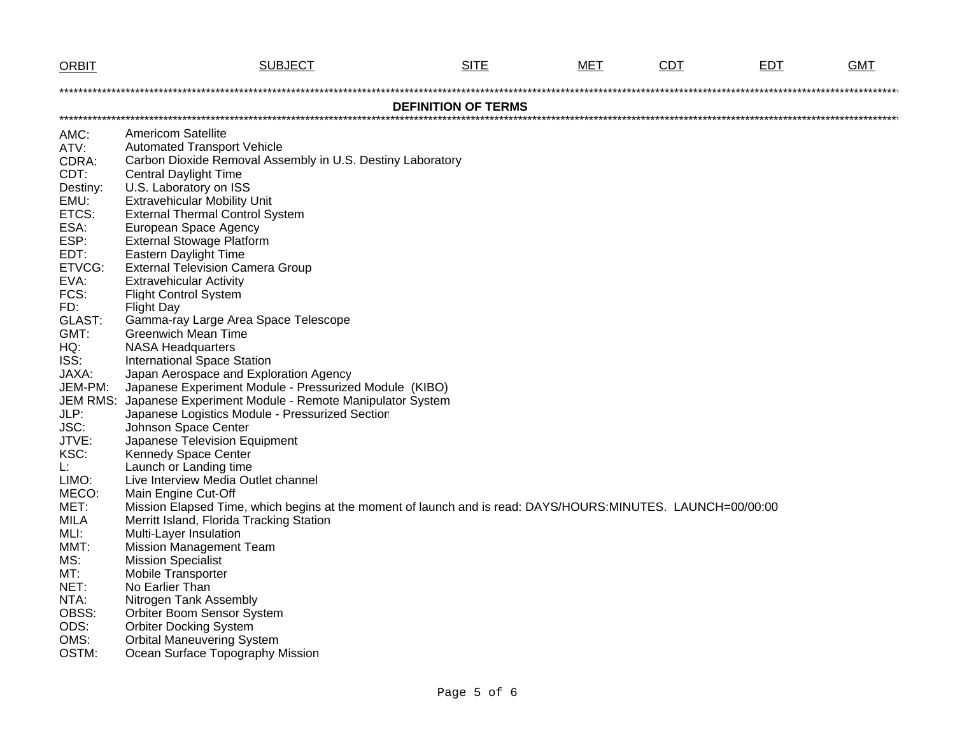| <b>ORBIT</b>                                                                                                                                                                                                                                                                                              | <b>SUBJECT</b>                                                                                                                                                                                                                                                                                                                                                                                                                                                                                                                                                                                                                                                                                                                                                                                                                                                                                                                                                                                                                                                                                                                                                                                                                                                                                                      | <b>SITE</b> | MET | CDT | <b>EDT</b> | GMT |  |
|-----------------------------------------------------------------------------------------------------------------------------------------------------------------------------------------------------------------------------------------------------------------------------------------------------------|---------------------------------------------------------------------------------------------------------------------------------------------------------------------------------------------------------------------------------------------------------------------------------------------------------------------------------------------------------------------------------------------------------------------------------------------------------------------------------------------------------------------------------------------------------------------------------------------------------------------------------------------------------------------------------------------------------------------------------------------------------------------------------------------------------------------------------------------------------------------------------------------------------------------------------------------------------------------------------------------------------------------------------------------------------------------------------------------------------------------------------------------------------------------------------------------------------------------------------------------------------------------------------------------------------------------|-------------|-----|-----|------------|-----|--|
|                                                                                                                                                                                                                                                                                                           |                                                                                                                                                                                                                                                                                                                                                                                                                                                                                                                                                                                                                                                                                                                                                                                                                                                                                                                                                                                                                                                                                                                                                                                                                                                                                                                     |             |     |     |            |     |  |
| <b>DEFINITION OF TERMS</b>                                                                                                                                                                                                                                                                                |                                                                                                                                                                                                                                                                                                                                                                                                                                                                                                                                                                                                                                                                                                                                                                                                                                                                                                                                                                                                                                                                                                                                                                                                                                                                                                                     |             |     |     |            |     |  |
| AMC:<br>ATV:<br>CDRA:<br>CDT:<br>Destiny:<br>EMU:<br>ETCS:<br>ESA:<br>ESP:<br>EDT:<br>ETVCG:<br>EVA:<br>FCS:<br>FD:<br>GLAST:<br>GMT:<br>HQ:<br>ISS:<br>JAXA:<br>JEM-PM:<br><b>JEM RMS:</b><br>JLP:<br>JSC:<br>JTVE:<br>KSC:<br>Ŀ.<br>LIMO:<br>MECO:<br>MET:<br><b>MILA</b><br>MLI:<br>MMT:<br>MS:<br>MT: | <b>Americom Satellite</b><br><b>Automated Transport Vehicle</b><br>Carbon Dioxide Removal Assembly in U.S. Destiny Laboratory<br><b>Central Daylight Time</b><br>U.S. Laboratory on ISS<br><b>Extravehicular Mobility Unit</b><br><b>External Thermal Control System</b><br>European Space Agency<br><b>External Stowage Platform</b><br><b>Eastern Daylight Time</b><br><b>External Television Camera Group</b><br><b>Extravehicular Activity</b><br><b>Flight Control System</b><br><b>Flight Day</b><br>Gamma-ray Large Area Space Telescope<br><b>Greenwich Mean Time</b><br><b>NASA Headquarters</b><br><b>International Space Station</b><br>Japan Aerospace and Exploration Agency<br>Japanese Experiment Module - Pressurized Module (KIBO)<br>Japanese Experiment Module - Remote Manipulator System<br>Japanese Logistics Module - Pressurized Section<br>Johnson Space Center<br>Japanese Television Equipment<br>Kennedy Space Center<br>Launch or Landing time<br>Live Interview Media Outlet channel<br>Main Engine Cut-Off<br>Mission Elapsed Time, which begins at the moment of launch and is read: DAYS/HOURS:MINUTES. LAUNCH=00/00:00<br>Merritt Island, Florida Tracking Station<br>Multi-Layer Insulation<br><b>Mission Management Team</b><br><b>Mission Specialist</b><br>Mobile Transporter |             |     |     |            |     |  |
| NET:                                                                                                                                                                                                                                                                                                      | No Earlier Than                                                                                                                                                                                                                                                                                                                                                                                                                                                                                                                                                                                                                                                                                                                                                                                                                                                                                                                                                                                                                                                                                                                                                                                                                                                                                                     |             |     |     |            |     |  |
| NTA:<br>OBSS:                                                                                                                                                                                                                                                                                             | Nitrogen Tank Assembly<br>Orbiter Boom Sensor System                                                                                                                                                                                                                                                                                                                                                                                                                                                                                                                                                                                                                                                                                                                                                                                                                                                                                                                                                                                                                                                                                                                                                                                                                                                                |             |     |     |            |     |  |
| ODS:<br>OMS:                                                                                                                                                                                                                                                                                              | <b>Orbiter Docking System</b><br><b>Orbital Maneuvering System</b>                                                                                                                                                                                                                                                                                                                                                                                                                                                                                                                                                                                                                                                                                                                                                                                                                                                                                                                                                                                                                                                                                                                                                                                                                                                  |             |     |     |            |     |  |
| OSTM:                                                                                                                                                                                                                                                                                                     | Ocean Surface Topography Mission                                                                                                                                                                                                                                                                                                                                                                                                                                                                                                                                                                                                                                                                                                                                                                                                                                                                                                                                                                                                                                                                                                                                                                                                                                                                                    |             |     |     |            |     |  |